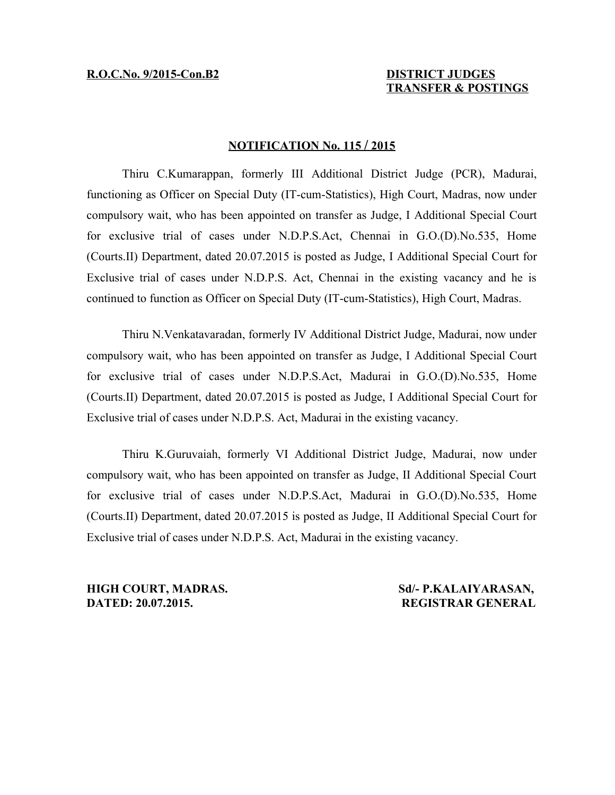## **N OTIFICATION No. 115 / 2015**

Thiru C.Kumarappan, formerly III Additional District Judge (PCR), Madurai, functioning as Officer on Special Duty (IT-cum-Statistics), High Court, Madras, now under compulsory wait, who has been appointed on transfer as Judge, I Additional Special Court for exclusive trial of cases under N.D.P.S.Act, Chennai in G.O.(D).No.535, Home (Courts.II) Department, dated 20.07.2015 is posted as Judge, I Additional Special Court for Exclusive trial of cases under N.D.P.S. Act, Chennai in the existing vacancy and he is continued to function as Officer on Special Duty (IT-cum-Statistics), High Court, Madras.

Thiru N.Venkatavaradan, formerly IV Additional District Judge, Madurai, now under compulsory wait, who has been appointed on transfer as Judge, I Additional Special Court for exclusive trial of cases under N.D.P.S.Act, Madurai in G.O.(D).No.535, Home (Courts.II) Department, dated 20.07.2015 is posted as Judge, I Additional Special Court for Exclusive trial of cases under N.D.P.S. Act, Madurai in the existing vacancy.

Thiru K.Guruvaiah, formerly VI Additional District Judge, Madurai, now under compulsory wait, who has been appointed on transfer as Judge, II Additional Special Court for exclusive trial of cases under N.D.P.S.Act, Madurai in G.O.(D).No.535, Home (Courts.II) Department, dated 20.07.2015 is posted as Judge, II Additional Special Court for Exclusive trial of cases under N.D.P.S. Act, Madurai in the existing vacancy.

**DATED: 20.07.2015. REGISTRAR GENERAL**

**HIGH COURT, MADRAS.** Sd/- P.KALAIYARASAN,